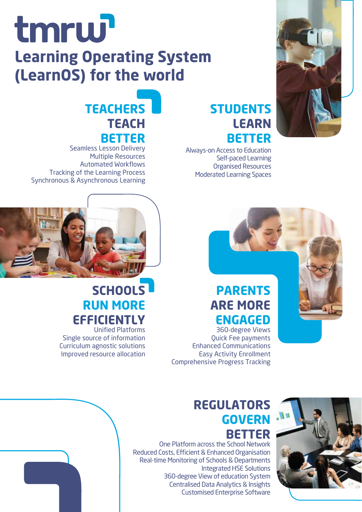## tmrw

#### **Learning Operating System (LearnOS) for the world**

#### **TEACHERS TEACH BETTER**

Seamless Lesson Delivery Multiple Resources Automated Workflows Tracking of the Learning Process Synchronous & Asynchronous Learning



Always-on Access to Education Self-paced Learning

**LEARN**

**BETTER** 

#### **PARENTS ARE MORE ENGAGED**

360-degree Views Quick Fee payments Enhanced Communications Easy Activity Enrollment Comprehensive Progress Tracking



#### **REGULATORS GOVERN BETTER**

One Platform across the School Network Reduced Costs, Efficient & Enhanced Organisation Real-time Monitoring of Schools & Departments Integrated HSE Solutions 360-degree View of education System Centralised Data Analytics & Insights Customised Enterprise Software



#### **SCHOOLS RUN MORE EFFICIENTLY**

Unified Platforms Single source of information Curriculum agnostic solutions Improved resource allocation